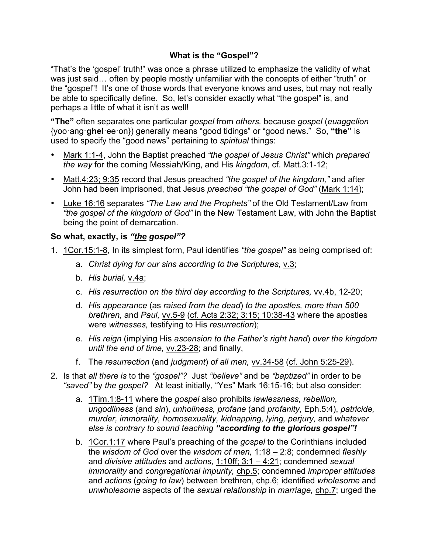## **What is the "Gospel"?**

"That's the 'gospel' truth!" was once a phrase utilized to emphasize the validity of what was just said… often by people mostly unfamiliar with the concepts of either "truth" or the "gospel"! It's one of those words that everyone knows and uses, but may not really be able to specifically define. So, let's consider exactly what "the gospel" is, and perhaps a little of what it isn't as well!

**"The"** often separates one particular *gospel* from *others,* because *gospel* (*euaggelion* {yoo·ang·**ghel**·ee·on}) generally means "good tidings" or "good news." So, **"the"** is used to specify the "good news" pertaining to *spiritual* things:

- Mark 1:1-4, John the Baptist preached *"the gospel of Jesus Christ"* which *prepared the way* for the coming Messiah/King, and His *kingdom*, cf. Matt.3:1-12;
- Matt.4:23; 9:35 record that Jesus preached *"the gospel of the kingdom,"* and after John had been imprisoned, that Jesus *preached "the gospel of God"* (Mark 1:14);
- Luke 16:16 separates *"The Law and the Prophets"* of the Old Testament/Law from *"the gospel of the kingdom of God"* in the New Testament Law, with John the Baptist being the point of demarcation.

## **So what, exactly, is** *"the gospel"?*

- 1. 1Cor.15:1-8, In its simplest form, Paul identifies *"the gospel"* as being comprised of:
	- a. *Christ dying for our sins according to the Scriptures,* v.3;
	- b. *His burial,* v.4a;
	- c. *His resurrection on the third day according to the Scriptures,* vv.4b, 12-20;
	- d. *His appearance* (as *raised from the dead*) *to the apostles, more than 500 brethren,* and *Paul,* vv.5-9 (cf. Acts 2:32; 3:15; 10:38-43 where the apostles were *witnesses,* testifying to His *resurrection*);
	- e. *His reign* (implying His *ascension to the Father's right hand*) *over the kingdom until the end of time,* vv.23-28; and finally,
	- f. The *resurrection* (and *judgment*) *of all men,* vv.34-58 (cf. John 5:25-29).
- 2. Is that *all there is* to the *"gospel"?* Just *"believe"* and be *"baptized"* in order to be *"saved"* by *the gospel?* At least initially, "Yes" Mark 16:15-16; but also consider:
	- a. 1Tim.1:8-11 where the *gospel* also prohibits *lawlessness, rebellion, ungodliness* (and *sin*), *unholiness, profane* (and *profanity*, Eph.5:4), *patricide, murder, immorality, homosexuality, kidnapping, lying, perjury,* and *whatever else is contrary to sound teaching "according to the glorious gospel"!*
	- b. 1Cor.1:17 where Paul's preaching of the *gospel* to the Corinthians included the *wisdom of God* over the *wisdom of men,* 1:18 – 2:8; condemned *fleshly*  and *divisive attitudes* and *actions,* 1:10ff; 3:1 – 4:21; condemned *sexual immorality* and *congregational impurity,* chp.5; condemned *improper attitudes*  and *actions* (*going to law*) between brethren, chp.6; identified *wholesome* and *unwholesome* aspects of the *sexual relationship* in *marriage,* chp.7; urged the